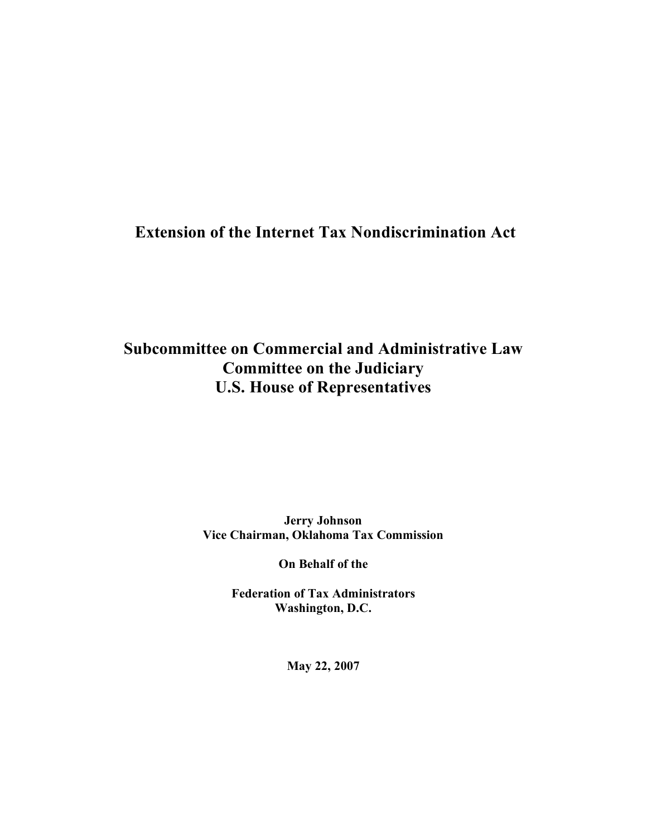# **Extension of the Internet Tax Nondiscrimination Act**

# **Subcommittee on Commercial and Administrative Law Committee on the Judiciary U.S. House of Representatives**

**Jerry Johnson Vice Chairman, Oklahoma Tax Commission**

**On Behalf of the**

**Federation of Tax Administrators Washington, D.C.**

**May 22, 2007**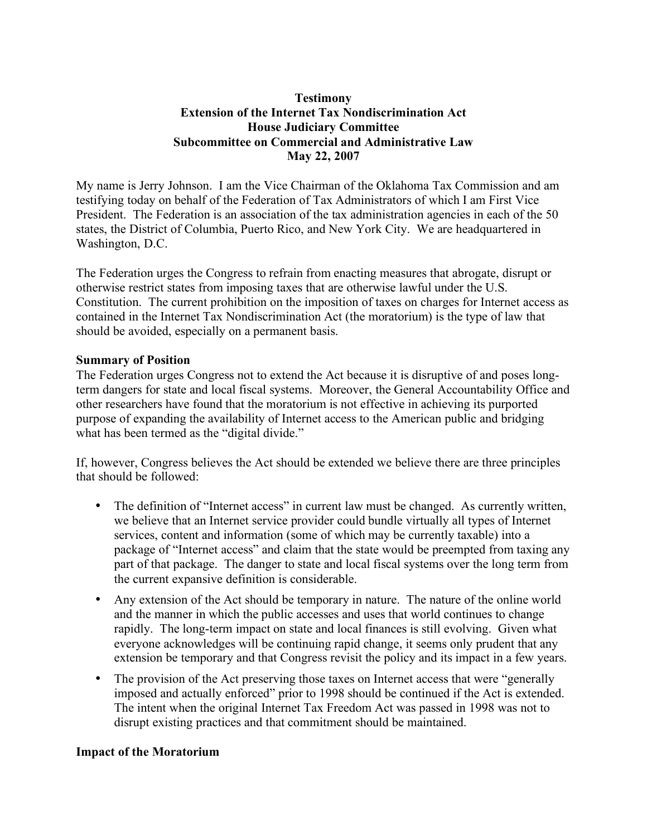### **Testimony Extension of the Internet Tax Nondiscrimination Act House Judiciary Committee Subcommittee on Commercial and Administrative Law May 22, 2007**

My name is Jerry Johnson. I am the Vice Chairman of the Oklahoma Tax Commission and am testifying today on behalf of the Federation of Tax Administrators of which I am First Vice President. The Federation is an association of the tax administration agencies in each of the 50 states, the District of Columbia, Puerto Rico, and New York City. We are headquartered in Washington, D.C.

The Federation urges the Congress to refrain from enacting measures that abrogate, disrupt or otherwise restrict states from imposing taxes that are otherwise lawful under the U.S. Constitution. The current prohibition on the imposition of taxes on charges for Internet access as contained in the Internet Tax Nondiscrimination Act (the moratorium) is the type of law that should be avoided, especially on a permanent basis.

#### **Summary of Position**

The Federation urges Congress not to extend the Act because it is disruptive of and poses longterm dangers for state and local fiscal systems. Moreover, the General Accountability Office and other researchers have found that the moratorium is not effective in achieving its purported purpose of expanding the availability of Internet access to the American public and bridging what has been termed as the "digital divide."

If, however, Congress believes the Act should be extended we believe there are three principles that should be followed:

- The definition of "Internet access" in current law must be changed. As currently written, we believe that an Internet service provider could bundle virtually all types of Internet services, content and information (some of which may be currently taxable) into a package of "Internet access" and claim that the state would be preempted from taxing any part of that package. The danger to state and local fiscal systems over the long term from the current expansive definition is considerable.
- Any extension of the Act should be temporary in nature. The nature of the online world and the manner in which the public accesses and uses that world continues to change rapidly. The long-term impact on state and local finances is still evolving. Given what everyone acknowledges will be continuing rapid change, it seems only prudent that any extension be temporary and that Congress revisit the policy and its impact in a few years.
- The provision of the Act preserving those taxes on Internet access that were "generally" imposed and actually enforced" prior to 1998 should be continued if the Act is extended. The intent when the original Internet Tax Freedom Act was passed in 1998 was not to disrupt existing practices and that commitment should be maintained.

### **Impact of the Moratorium**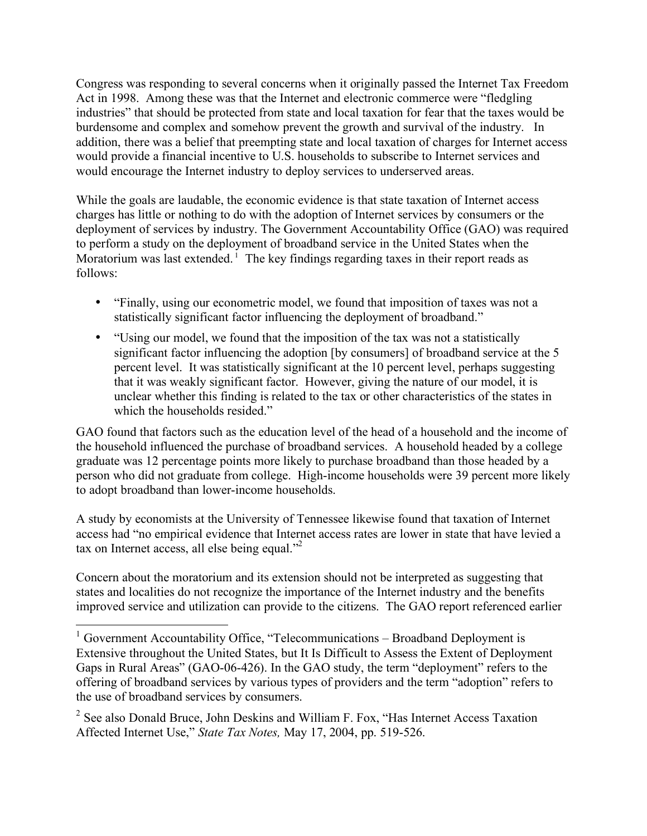Congress was responding to several concerns when it originally passed the Internet Tax Freedom Act in 1998. Among these was that the Internet and electronic commerce were "fledgling industries" that should be protected from state and local taxation for fear that the taxes would be burdensome and complex and somehow prevent the growth and survival of the industry. In addition, there was a belief that preempting state and local taxation of charges for Internet access would provide a financial incentive to U.S. households to subscribe to Internet services and would encourage the Internet industry to deploy services to underserved areas.

While the goals are laudable, the economic evidence is that state taxation of Internet access charges has little or nothing to do with the adoption of Internet services by consumers or the deployment of services by industry. The Government Accountability Office (GAO) was required to perform a study on the deployment of broadband service in the United States when the Moratorium was last extended.<sup> $\frac{1}{1}$ </sup> The key findings regarding taxes in their report reads as follows:

- "Finally, using our econometric model, we found that imposition of taxes was not a statistically significant factor influencing the deployment of broadband."
- "Using our model, we found that the imposition of the tax was not a statistically significant factor influencing the adoption [by consumers] of broadband service at the 5 percent level. It was statistically significant at the 10 percent level, perhaps suggesting that it was weakly significant factor. However, giving the nature of our model, it is unclear whether this finding is related to the tax or other characteristics of the states in which the households resided."

GAO found that factors such as the education level of the head of a household and the income of the household influenced the purchase of broadband services. A household headed by a college graduate was 12 percentage points more likely to purchase broadband than those headed by a person who did not graduate from college. High-income households were 39 percent more likely to adopt broadband than lower-income households.

A study by economists at the University of Tennessee likewise found that taxation of Internet access had "no empirical evidence that Internet access rates are lower in state that have levied a tax on Internet access, all else being equal."<sup>2</sup>

Concern about the moratorium and its extension should not be interpreted as suggesting that states and localities do not recognize the importance of the Internet industry and the benefits improved service and utilization can provide to the citizens. The GAO report referenced earlier

<sup>&</sup>lt;sup>1</sup> Government Accountability Office, "Telecommunications – Broadband Deployment is Extensive throughout the United States, but It Is Difficult to Assess the Extent of Deployment Gaps in Rural Areas" (GAO-06-426). In the GAO study, the term "deployment" refers to the offering of broadband services by various types of providers and the term "adoption" refers to the use of broadband services by consumers.

<sup>&</sup>lt;sup>2</sup> See also Donald Bruce, John Deskins and William F. Fox, "Has Internet Access Taxation" Affected Internet Use," *State Tax Notes,* May 17, 2004, pp. 519-526.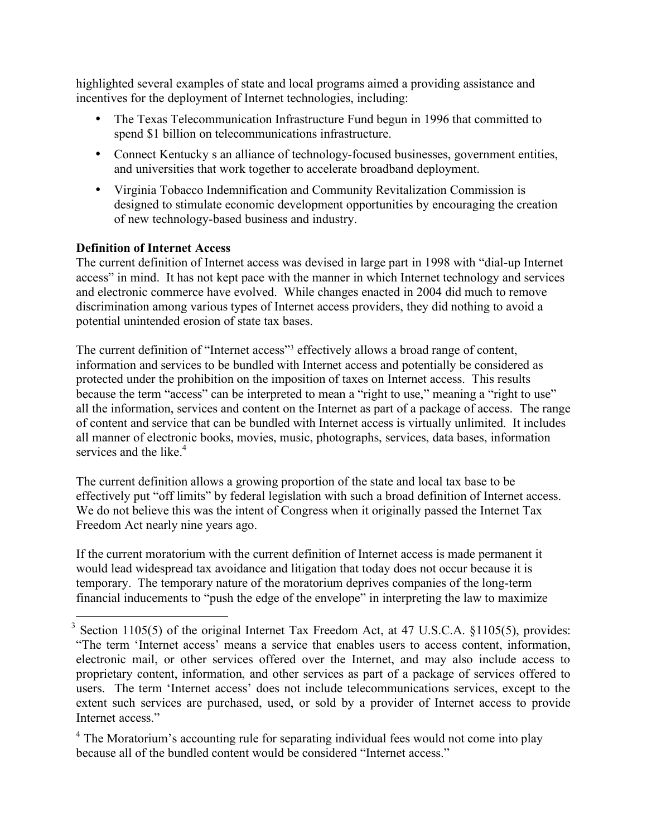highlighted several examples of state and local programs aimed a providing assistance and incentives for the deployment of Internet technologies, including:

- The Texas Telecommunication Infrastructure Fund begun in 1996 that committed to spend \$1 billion on telecommunications infrastructure.
- Connect Kentucky s an alliance of technology-focused businesses, government entities, and universities that work together to accelerate broadband deployment.
- Virginia Tobacco Indemnification and Community Revitalization Commission is designed to stimulate economic development opportunities by encouraging the creation of new technology-based business and industry.

### **Definition of Internet Access**

The current definition of Internet access was devised in large part in 1998 with "dial-up Internet access" in mind. It has not kept pace with the manner in which Internet technology and services and electronic commerce have evolved. While changes enacted in 2004 did much to remove discrimination among various types of Internet access providers, they did nothing to avoid a potential unintended erosion of state tax bases.

The current definition of "Internet access"<sup>3</sup> effectively allows a broad range of content, information and services to be bundled with Internet access and potentially be considered as protected under the prohibition on the imposition of taxes on Internet access. This results because the term "access" can be interpreted to mean a "right to use," meaning a "right to use" all the information, services and content on the Internet as part of a package of access. The range of content and service that can be bundled with Internet access is virtually unlimited. It includes all manner of electronic books, movies, music, photographs, services, data bases, information services and the like.<sup>4</sup>

The current definition allows a growing proportion of the state and local tax base to be effectively put "off limits" by federal legislation with such a broad definition of Internet access. We do not believe this was the intent of Congress when it originally passed the Internet Tax Freedom Act nearly nine years ago.

If the current moratorium with the current definition of Internet access is made permanent it would lead widespread tax avoidance and litigation that today does not occur because it is temporary. The temporary nature of the moratorium deprives companies of the long-term financial inducements to "push the edge of the envelope" in interpreting the law to maximize

<sup>&</sup>lt;sup>3</sup> Section 1105(5) of the original Internet Tax Freedom Act, at 47 U.S.C.A. §1105(5), provides: "The term 'Internet access' means a service that enables users to access content, information, electronic mail, or other services offered over the Internet, and may also include access to proprietary content, information, and other services as part of a package of services offered to users. The term 'Internet access' does not include telecommunications services, except to the extent such services are purchased, used, or sold by a provider of Internet access to provide Internet access."

<sup>&</sup>lt;sup>4</sup> The Moratorium's accounting rule for separating individual fees would not come into play because all of the bundled content would be considered "Internet access."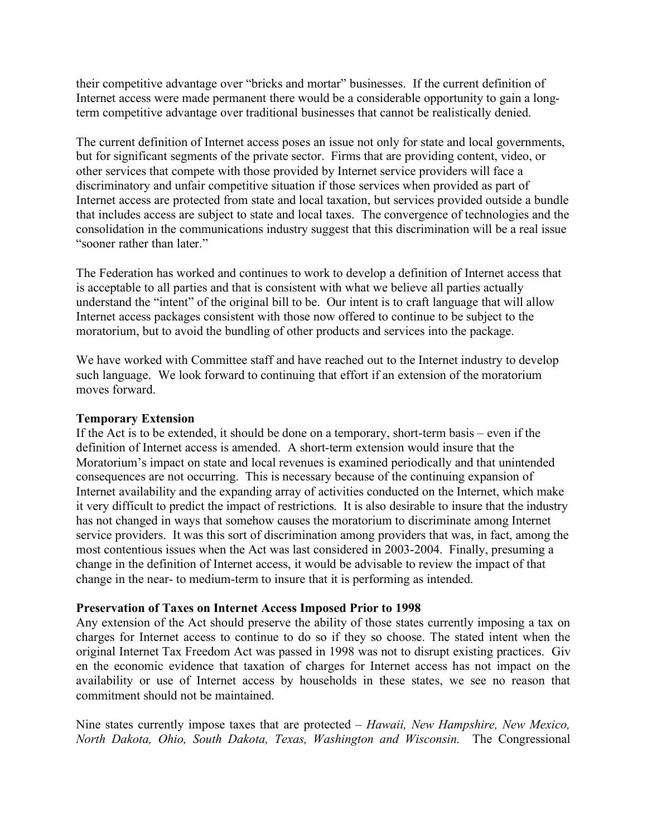their competitive advantage over "bricks and mortar" businesses. If the current definition of Internet access were made permanent there would be a considerable opportunity to gain a longterm competitive advantage over traditional businesses that cannot be realistically denied.

The current definition of Internet access poses an issue not only for state and local governments, but for significant segments of the private sector. Firms that are providing content, video, or other services that compete with those provided by Internet service providers will face a discriminatory and unfair competitive situation if those services when provided as part of Internet access are protected from state and local taxation, but services provided outside a bundle that includes access are subject to state and local taxes. The convergence of technologies and the consolidation in the communications industry suggest that this discrimination will be a real issue "sooner rather than later."

The Federation has worked and continues to work to develop a definition of Internet access that is acceptable to all parties and that is consistent with what we believe all parties actually understand the "intent" of the original bill to be. Our intent is to craft language that will allow Internet access packages consistent with those now offered to continue to be subject to the moratorium, but to avoid the bundling of other products and services into the package.

We have worked with Committee staff and have reached out to the Internet industry to develop such language. We look forward to continuing that effort if an extension of the moratorium moves forward.

#### **Temporary Extension**

If the Act is to be extended, it should be done on a temporary, short-term basis – even if the definition of Internet access is amended. A short-term extension would insure that the Moratorium's impact on state and local revenues is examined periodically and that unintended consequences are not occurring. This is necessary because of the continuing expansion of Internet availability and the expanding array of activities conducted on the Internet, which make it very difficult to predict the impact of restrictions. It is also desirable to insure that the industry has not changed in ways that somehow causes the moratorium to discriminate among Internet service providers. It was this sort of discrimination among providers that was, in fact, among the most contentious issues when the Act was last considered in 2003-2004. Finally, presuming a change in the definition of Internet access, it would be advisable to review the impact of that change in the near- to medium-term to insure that it is performing as intended.

#### **Preservation of Taxes on Internet Access Imposed Prior to 1998**

Any extension of the Act should preserve the ability of those states currently imposing a tax on charges for Internet access to continue to do so if they so choose. The stated intent when the original Internet Tax Freedom Act was passed in 1998 was not to disrupt existing practices. Giv en the economic evidence that taxation of charges for Internet access has not impact on the availability or use of Internet access by households in these states, we see no reason that commitment should not be maintained.

Nine states currently impose taxes that are protected – *Hawaii, New Hampshire, New Mexico, North Dakota, Ohio, South Dakota, Texas, Washington and Wisconsin.* The Congressional